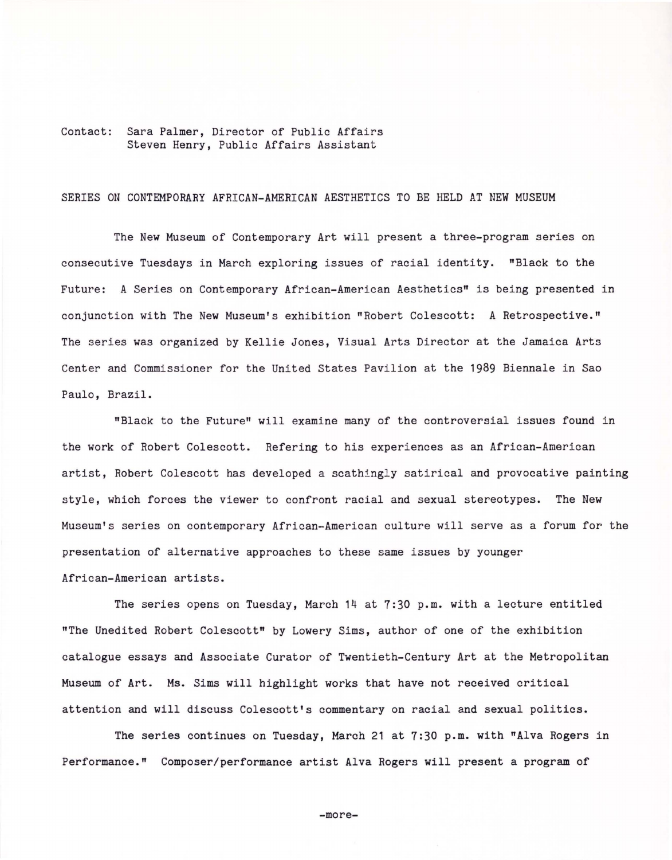## Contact: Sara Palmer, Director of Public Affairs Steven Henry, Public Affairs Assistant

## SERIES ON CONTEMPORARY AFRICAN-AMERICAN AESTHETICS TO BE HELD AT NEW MUSEUM

The New Museum of Contemporary Art will present a three-program series on consecutive Tuesdays in March exploring issues of racial identity. "Black to the Future: A Series on Contemporary African-American Aesthetics" is being presented in conjunction with The New Museum's exhibition "Robert Colescott: A Retrospective." The series was organized by Kellie Jones, Visual Arts Director at the Jamaica Arts Center and Commissioner for the United States Pavilion at the 1989 Biennale in Sao Paulo, Brazil.

"Black to the Future" will examine many of the controversial issues found in the work of Robert Colescott. Refering to his experiences as an African-American artist, Robert Colescott has developed a scathingly satirical and provocative painting style, which forces the viewer to confront racial and sexual stereotypes. The New Museum's series on contemporary African-American culture will serve as a forum for the presentation of alternative approaches to these same issues by younger African-American artists.

The series opens on Tuesday, March 14 at 7:30 p.m. with a lecture entitled "The Unedited Robert Colescott" by Lowery Sims, author of one of the exhibition catalogue essays and Associate Curator of Twentieth-Century Art at the Metropolitan Museum of Art. Ms. Sims will highlight works that have not received critical attention and will discuss Colescott's commentary on racial and sexual politics.

The series continues on Tuesday, March 21 at 7:30 p.m. with "Alva Rogers in Performance." Composer/performance artist Alva Rogers will present a program of